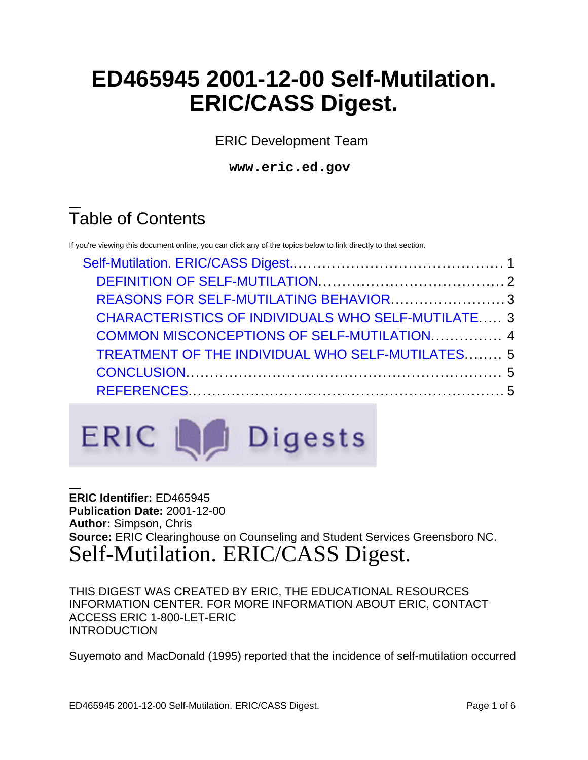# **ED465945 2001-12-00 Self-Mutilation. ERIC/CASS Digest.**

ERIC Development Team

**www.eric.ed.gov**

## Table of Contents

If you're viewing this document online, you can click any of the topics below to link directly to that section.

| REASONS FOR SELF-MUTILATING BEHAVIOR3                     |  |
|-----------------------------------------------------------|--|
| <b>CHARACTERISTICS OF INDIVIDUALS WHO SELF-MUTILATE 3</b> |  |
| COMMON MISCONCEPTIONS OF SELF-MUTILATION 4                |  |
| <b>TREATMENT OF THE INDIVIDUAL WHO SELF-MUTILATES 5</b>   |  |
|                                                           |  |
|                                                           |  |



**ERIC Identifier:** ED465945 **Publication Date:** 2001-12-00 **Author:** Simpson, Chris **Source:** ERIC Clearinghouse on Counseling and Student Services Greensboro NC. Self-Mutilation. ERIC/CASS Digest.

<span id="page-0-0"></span>THIS DIGEST WAS CREATED BY ERIC, THE EDUCATIONAL RESOURCES INFORMATION CENTER. FOR MORE INFORMATION ABOUT ERIC, CONTACT ACCESS ERIC 1-800-LET-ERIC INTRODUCTION

Suyemoto and MacDonald (1995) reported that the incidence of self-mutilation occurred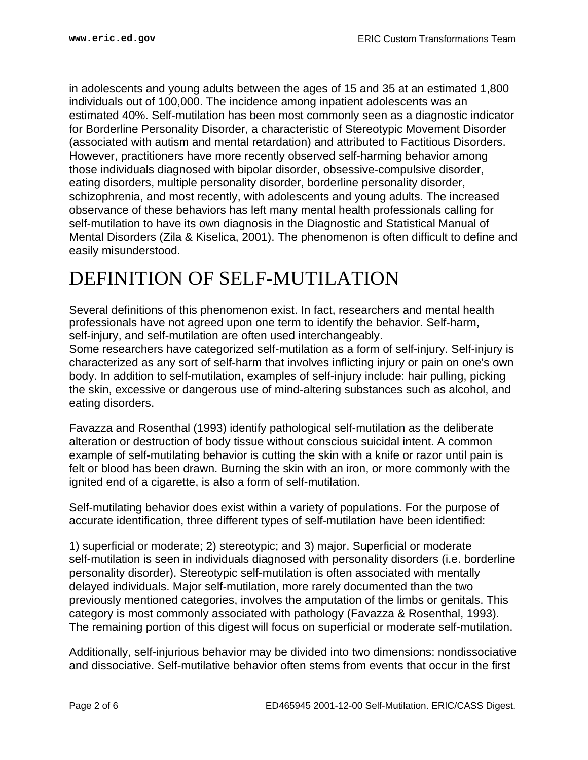in adolescents and young adults between the ages of 15 and 35 at an estimated 1,800 individuals out of 100,000. The incidence among inpatient adolescents was an estimated 40%. Self-mutilation has been most commonly seen as a diagnostic indicator for Borderline Personality Disorder, a characteristic of Stereotypic Movement Disorder (associated with autism and mental retardation) and attributed to Factitious Disorders. However, practitioners have more recently observed self-harming behavior among those individuals diagnosed with bipolar disorder, obsessive-compulsive disorder, eating disorders, multiple personality disorder, borderline personality disorder, schizophrenia, and most recently, with adolescents and young adults. The increased observance of these behaviors has left many mental health professionals calling for self-mutilation to have its own diagnosis in the Diagnostic and Statistical Manual of Mental Disorders (Zila & Kiselica, 2001). The phenomenon is often difficult to define and easily misunderstood.

### <span id="page-1-0"></span>DEFINITION OF SELF-MUTILATION

Several definitions of this phenomenon exist. In fact, researchers and mental health professionals have not agreed upon one term to identify the behavior. Self-harm, self-injury, and self-mutilation are often used interchangeably.

Some researchers have categorized self-mutilation as a form of self-injury. Self-injury is characterized as any sort of self-harm that involves inflicting injury or pain on one's own body. In addition to self-mutilation, examples of self-injury include: hair pulling, picking the skin, excessive or dangerous use of mind-altering substances such as alcohol, and eating disorders.

Favazza and Rosenthal (1993) identify pathological self-mutilation as the deliberate alteration or destruction of body tissue without conscious suicidal intent. A common example of self-mutilating behavior is cutting the skin with a knife or razor until pain is felt or blood has been drawn. Burning the skin with an iron, or more commonly with the ignited end of a cigarette, is also a form of self-mutilation.

Self-mutilating behavior does exist within a variety of populations. For the purpose of accurate identification, three different types of self-mutilation have been identified:

1) superficial or moderate; 2) stereotypic; and 3) major. Superficial or moderate self-mutilation is seen in individuals diagnosed with personality disorders (i.e. borderline personality disorder). Stereotypic self-mutilation is often associated with mentally delayed individuals. Major self-mutilation, more rarely documented than the two previously mentioned categories, involves the amputation of the limbs or genitals. This category is most commonly associated with pathology (Favazza & Rosenthal, 1993). The remaining portion of this digest will focus on superficial or moderate self-mutilation.

Additionally, self-injurious behavior may be divided into two dimensions: nondissociative and dissociative. Self-mutilative behavior often stems from events that occur in the first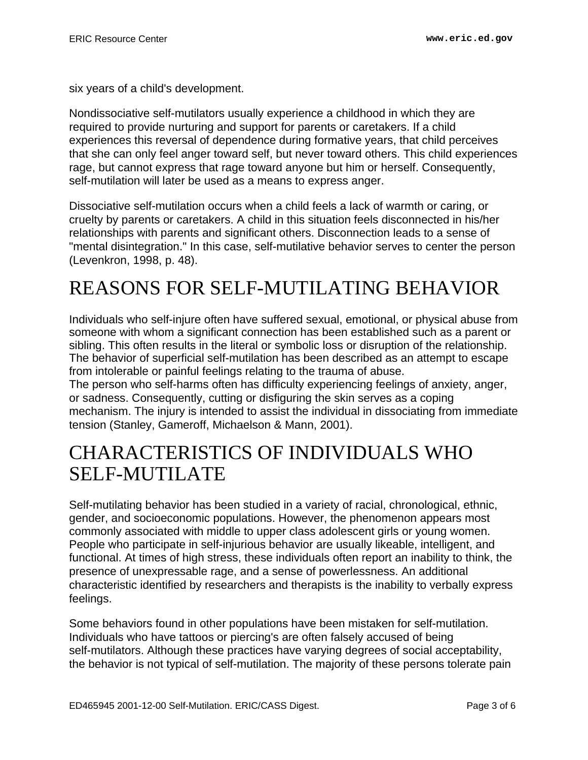six years of a child's development.

Nondissociative self-mutilators usually experience a childhood in which they are required to provide nurturing and support for parents or caretakers. If a child experiences this reversal of dependence during formative years, that child perceives that she can only feel anger toward self, but never toward others. This child experiences rage, but cannot express that rage toward anyone but him or herself. Consequently, self-mutilation will later be used as a means to express anger.

Dissociative self-mutilation occurs when a child feels a lack of warmth or caring, or cruelty by parents or caretakers. A child in this situation feels disconnected in his/her relationships with parents and significant others. Disconnection leads to a sense of "mental disintegration." In this case, self-mutilative behavior serves to center the person (Levenkron, 1998, p. 48).

## <span id="page-2-0"></span>REASONS FOR SELF-MUTILATING BEHAVIOR

Individuals who self-injure often have suffered sexual, emotional, or physical abuse from someone with whom a significant connection has been established such as a parent or sibling. This often results in the literal or symbolic loss or disruption of the relationship. The behavior of superficial self-mutilation has been described as an attempt to escape from intolerable or painful feelings relating to the trauma of abuse.

The person who self-harms often has difficulty experiencing feelings of anxiety, anger, or sadness. Consequently, cutting or disfiguring the skin serves as a coping mechanism. The injury is intended to assist the individual in dissociating from immediate tension (Stanley, Gameroff, Michaelson & Mann, 2001).

### <span id="page-2-1"></span>CHARACTERISTICS OF INDIVIDUALS WHO SELF-MUTILATE

Self-mutilating behavior has been studied in a variety of racial, chronological, ethnic, gender, and socioeconomic populations. However, the phenomenon appears most commonly associated with middle to upper class adolescent girls or young women. People who participate in self-injurious behavior are usually likeable, intelligent, and functional. At times of high stress, these individuals often report an inability to think, the presence of unexpressable rage, and a sense of powerlessness. An additional characteristic identified by researchers and therapists is the inability to verbally express feelings.

Some behaviors found in other populations have been mistaken for self-mutilation. Individuals who have tattoos or piercing's are often falsely accused of being self-mutilators. Although these practices have varying degrees of social acceptability, the behavior is not typical of self-mutilation. The majority of these persons tolerate pain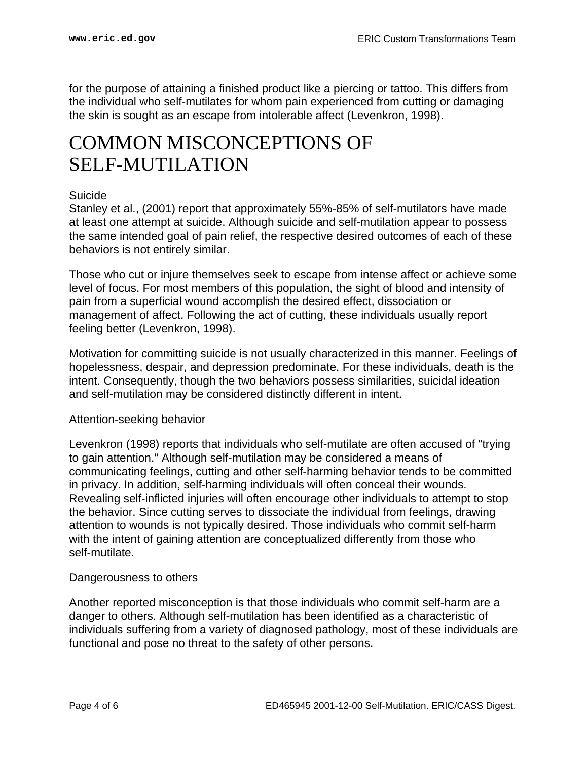for the purpose of attaining a finished product like a piercing or tattoo. This differs from the individual who self-mutilates for whom pain experienced from cutting or damaging the skin is sought as an escape from intolerable affect (Levenkron, 1998).

### <span id="page-3-0"></span>COMMON MISCONCEPTIONS OF SELF-MUTILATION

#### Suicide

Stanley et al., (2001) report that approximately 55%-85% of self-mutilators have made at least one attempt at suicide. Although suicide and self-mutilation appear to possess the same intended goal of pain relief, the respective desired outcomes of each of these behaviors is not entirely similar.

Those who cut or injure themselves seek to escape from intense affect or achieve some level of focus. For most members of this population, the sight of blood and intensity of pain from a superficial wound accomplish the desired effect, dissociation or management of affect. Following the act of cutting, these individuals usually report feeling better (Levenkron, 1998).

Motivation for committing suicide is not usually characterized in this manner. Feelings of hopelessness, despair, and depression predominate. For these individuals, death is the intent. Consequently, though the two behaviors possess similarities, suicidal ideation and self-mutilation may be considered distinctly different in intent.

#### Attention-seeking behavior

Levenkron (1998) reports that individuals who self-mutilate are often accused of "trying to gain attention." Although self-mutilation may be considered a means of communicating feelings, cutting and other self-harming behavior tends to be committed in privacy. In addition, self-harming individuals will often conceal their wounds. Revealing self-inflicted injuries will often encourage other individuals to attempt to stop the behavior. Since cutting serves to dissociate the individual from feelings, drawing attention to wounds is not typically desired. Those individuals who commit self-harm with the intent of gaining attention are conceptualized differently from those who self-mutilate.

#### Dangerousness to others

Another reported misconception is that those individuals who commit self-harm are a danger to others. Although self-mutilation has been identified as a characteristic of individuals suffering from a variety of diagnosed pathology, most of these individuals are functional and pose no threat to the safety of other persons.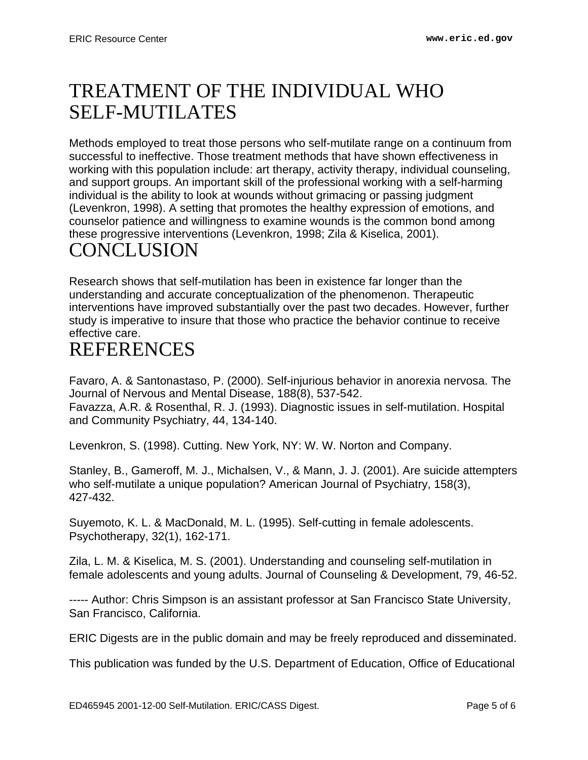### <span id="page-4-0"></span>TREATMENT OF THE INDIVIDUAL WHO SELF-MUTILATES

Methods employed to treat those persons who self-mutilate range on a continuum from successful to ineffective. Those treatment methods that have shown effectiveness in working with this population include: art therapy, activity therapy, individual counseling, and support groups. An important skill of the professional working with a self-harming individual is the ability to look at wounds without grimacing or passing judgment (Levenkron, 1998). A setting that promotes the healthy expression of emotions, and counselor patience and willingness to examine wounds is the common bond among these progressive interventions (Levenkron, 1998; Zila & Kiselica, 2001).

### <span id="page-4-1"></span>**CONCLUSION**

Research shows that self-mutilation has been in existence far longer than the understanding and accurate conceptualization of the phenomenon. Therapeutic interventions have improved substantially over the past two decades. However, further study is imperative to insure that those who practice the behavior continue to receive effective care.

### <span id="page-4-2"></span>REFERENCES

Favaro, A. & Santonastaso, P. (2000). Self-injurious behavior in anorexia nervosa. The Journal of Nervous and Mental Disease, 188(8), 537-542. Favazza, A.R. & Rosenthal, R. J. (1993). Diagnostic issues in self-mutilation. Hospital and Community Psychiatry, 44, 134-140.

Levenkron, S. (1998). Cutting. New York, NY: W. W. Norton and Company.

Stanley, B., Gameroff, M. J., Michalsen, V., & Mann, J. J. (2001). Are suicide attempters who self-mutilate a unique population? American Journal of Psychiatry, 158(3), 427-432.

Suyemoto, K. L. & MacDonald, M. L. (1995). Self-cutting in female adolescents. Psychotherapy, 32(1), 162-171.

Zila, L. M. & Kiselica, M. S. (2001). Understanding and counseling self-mutilation in female adolescents and young adults. Journal of Counseling & Development, 79, 46-52.

----- Author: Chris Simpson is an assistant professor at San Francisco State University, San Francisco, California.

ERIC Digests are in the public domain and may be freely reproduced and disseminated.

This publication was funded by the U.S. Department of Education, Office of Educational